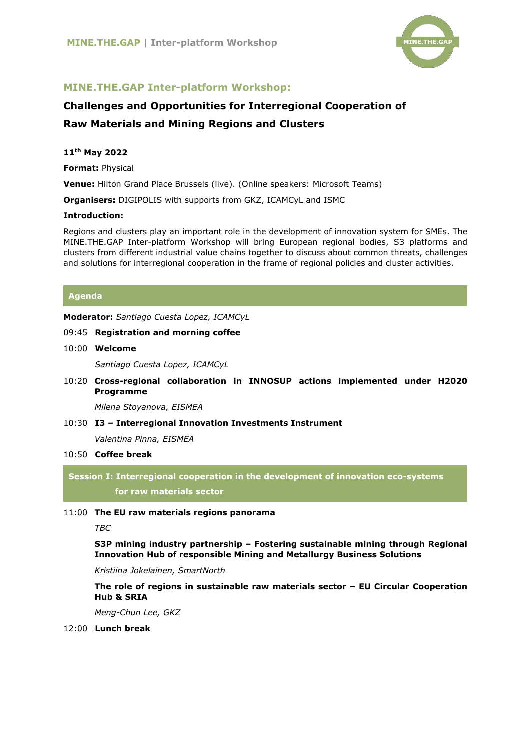

# **MINE.THE.GAP Inter-platform Workshop:**

# **Challenges and Opportunities for Interregional Cooperation of Raw Materials and Mining Regions and Clusters**

#### **11th May 2022**

**Format:** Physical

**Venue:** Hilton Grand Place Brussels (live). (Online speakers: Microsoft Teams)

**Organisers:** DIGIPOLIS with supports from GKZ, ICAMCyL and ISMC

#### **Introduction:**

Regions and clusters play an important role in the development of innovation system for SMEs. The MINE.THE.GAP Inter-platform Workshop will bring European regional bodies, S3 platforms and clusters from different industrial value chains together to discuss about common threats, challenges and solutions for interregional cooperation in the frame of regional policies and cluster activities.

### **Agenda**

**Moderator:** *Santiago Cuesta Lopez, ICAMCyL* 

#### 09:45 **Registration and morning coffee**

10:00 **Welcome** 

*Santiago Cuesta Lopez, ICAMCyL*

10:20 **Cross-regional collaboration in INNOSUP actions implemented under H2020 Programme**

*Milena Stoyanova, EISMEA*

10:30 **I3 – Interregional Innovation Investments Instrument** *Valentina Pinna, EISMEA*

## 10:50 **Coffee break**

**Session I: Interregional cooperation in the development of innovation eco-systems for raw materials sector**

#### 11:00 **The EU raw materials regions panorama**

*TBC*

**S3P mining industry partnership – Fostering sustainable mining through Regional Innovation Hub of responsible Mining and Metallurgy Business Solutions**

*Kristiina Jokelainen, SmartNorth*

**The role of regions in sustainable raw materials sector – EU Circular Cooperation Hub & SRIA**

*Meng-Chun Lee, GKZ* 

12:00 **Lunch break**